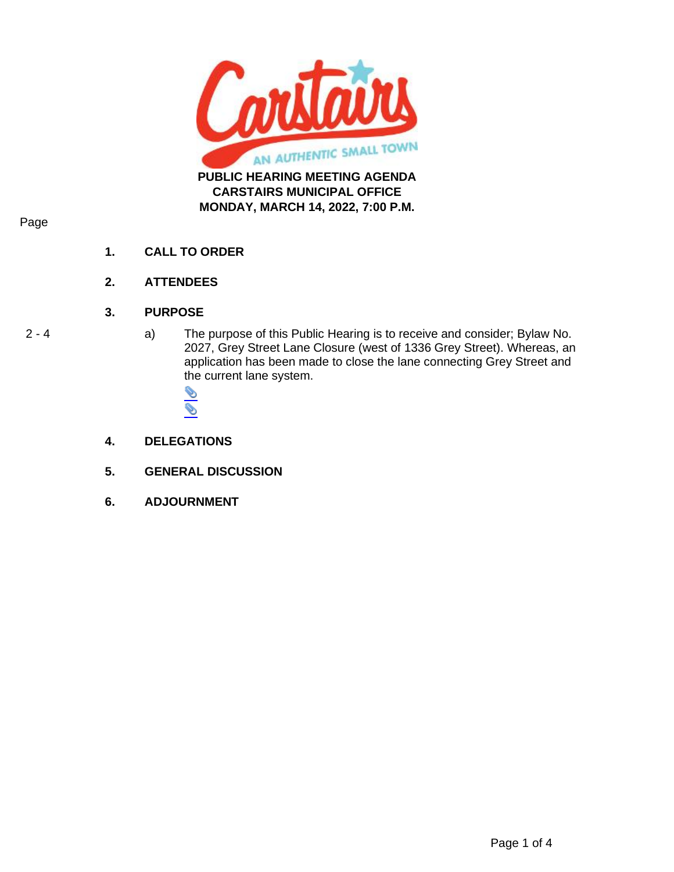

## Page

- **1. CALL TO ORDER**
- **2. ATTENDEES**

## **3. PURPOSE**

2 - 4 a) The purpose of this Public Hearing is to receive and consider; Bylaw No. 2027, Grey Street Lane Closure (west of 1336 Grey Street). Whereas, an application has been made to close the lane connecting Grey Street and the current lane system.



- **4. DELEGATIONS**
- **5. GENERAL DISCUSSION**
- **6. ADJOURNMENT**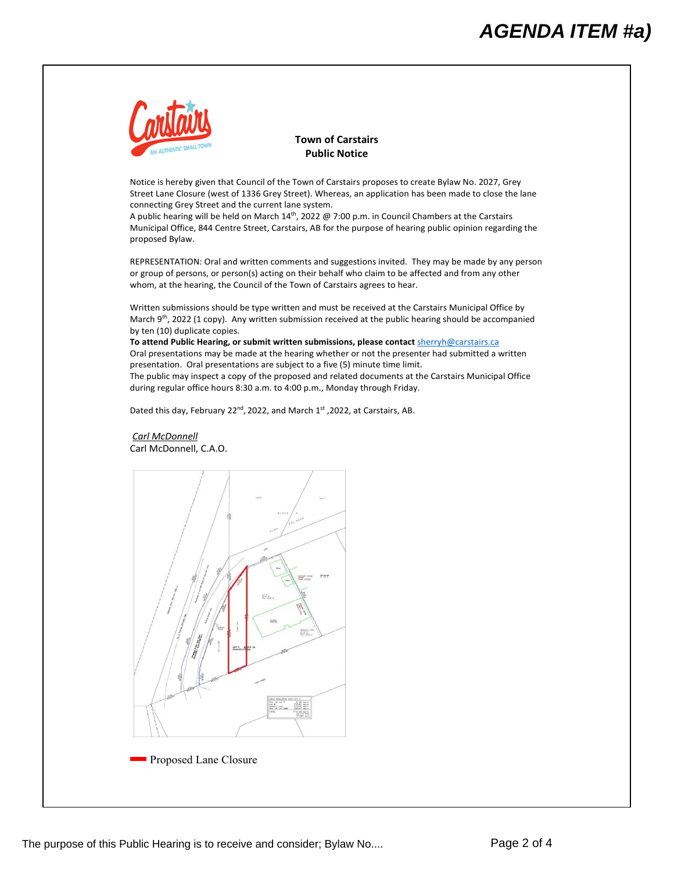

**Town of Carstairs Public Notice**

Notice is hereby given that Council of the Town of Carstairs proposes to create Bylaw No. 2027, Grey Street Lane Closure (west of 1336 Grey Street). Whereas, an application has been made to close the lane connecting Grey Street and the current lane system.

A public hearing will be held on March  $14^{\text{th}}$ , 2022 @ 7:00 p.m. in Council Chambers at the Carstairs Municipal Office, 844 Centre Street, Carstairs, AB for the purpose of hearing public opinion regarding the proposed Bylaw.

REPRESENTATION: Oral and written comments and suggestions invited. They may be made by any person or group of persons, or person(s) acting on their behalf who claim to be affected and from any other whom, at the hearing, the Council of the Town of Carstairs agrees to hear.

Written submissions should be type written and must be received at the Carstairs Municipal Office by March 9<sup>th</sup>, 2022 (1 copy). Any written submission received at the public hearing should be accompanied by ten (10) duplicate copies.

**To attend Public Hearing, or submit written submissions, please contact** [sherryh@carstairs.ca](mailto:sherryh@carstairs.ca) Oral presentations may be made at the hearing whether or not the presenter had submitted a written presentation. Oral presentations are subject to a five (5) minute time limit. The public may inspect a copy of the proposed and related documents at the Carstairs Municipal Office during regular office hours 8:30 a.m. to 4:00 p.m., Monday through Friday.

Dated this day, February 22<sup>nd</sup>, 2022, and March 1<sup>st</sup>, 2022, at Carstairs, AB.

*Carl McDonnell*  Carl McDonnell, C.A.O.

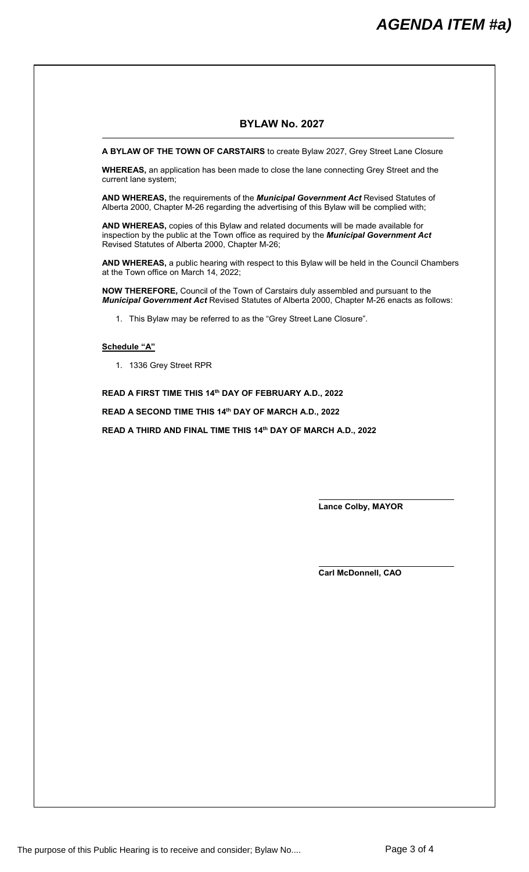## **BYLAW No. 2027**

**A BYLAW OF THE TOWN OF CARSTAIRS** to create Bylaw 2027, Grey Street Lane Closure

**WHEREAS,** an application has been made to close the lane connecting Grey Street and the current lane system;

**AND WHEREAS,** the requirements of the *Municipal Government Act* Revised Statutes of Alberta 2000, Chapter M-26 regarding the advertising of this Bylaw will be complied with;

**AND WHEREAS,** copies of this Bylaw and related documents will be made available for inspection by the public at the Town office as required by the *Municipal Government Act* Revised Statutes of Alberta 2000, Chapter M-26;

**AND WHEREAS,** a public hearing with respect to this Bylaw will be held in the Council Chambers at the Town office on March 14, 2022;

**NOW THEREFORE,** Council of the Town of Carstairs duly assembled and pursuant to the *Municipal Government Act* Revised Statutes of Alberta 2000, Chapter M-26 enacts as follows:

1. This Bylaw may be referred to as the "Grey Street Lane Closure".

## **Schedule "A"**

1. 1336 Grey Street RPR

**READ A FIRST TIME THIS 14th DAY OF FEBRUARY A.D., 2022**

**READ A SECOND TIME THIS 14th DAY OF MARCH A.D., 2022**

**READ A THIRD AND FINAL TIME THIS 14th DAY OF MARCH A.D., 2022**

**Lance Colby, MAYOR**

**Carl McDonnell, CAO**